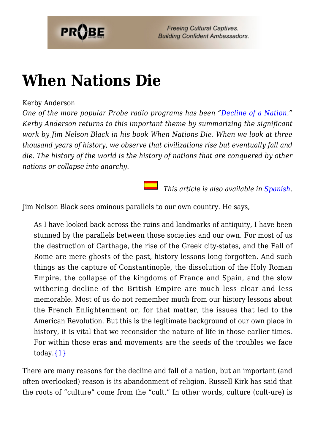

# **[When Nations Die](https://probe.org/when-nations-die/)**

#### Kerby Anderson

*One of the more popular Probe radio programs has been ["Decline of a Nation](https://www.probe.org/the-decline-of-a-nation/)." Kerby Anderson returns to this important theme by summarizing the significant work by Jim Nelson Black in his book When Nations Die. When we look at three thousand years of history, we observe that civilizations rise but eventually fall and die. The history of the world is the history of nations that are conquered by other nations or collapse into anarchy.*

 *This article is also available in [Spanish.](https://www.ministeriosprobe.org/docs/naciones.html)*

Jim Nelson Black sees ominous parallels to our own country. He says,

As I have looked back across the ruins and landmarks of antiquity, I have been stunned by the parallels between those societies and our own. For most of us the destruction of Carthage, the rise of the Greek city-states, and the Fall of Rome are mere ghosts of the past, history lessons long forgotten. And such things as the capture of Constantinople, the dissolution of the Holy Roman Empire, the collapse of the kingdoms of France and Spain, and the slow withering decline of the British Empire are much less clear and less memorable. Most of us do not remember much from our history lessons about the French Enlightenment or, for that matter, the issues that led to the American Revolution. But this is the legitimate background of our own place in history, it is vital that we reconsider the nature of life in those earlier times. For within those eras and movements are the seeds of the troubles we face today. $\{1\}$ 

There are many reasons for the decline and fall of a nation, but an important (and often overlooked) reason is its abandonment of religion. Russell Kirk has said that the roots of "culture" come from the "cult." In other words, culture (cult-ure) is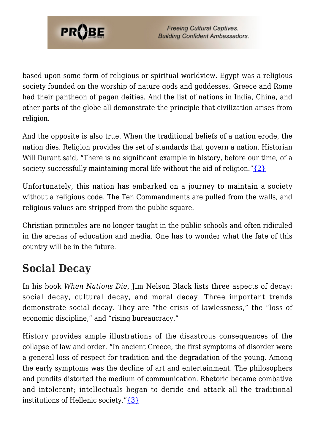

based upon some form of religious or spiritual worldview. Egypt was a religious society founded on the worship of nature gods and goddesses. Greece and Rome had their pantheon of pagan deities. And the list of nations in India, China, and other parts of the globe all demonstrate the principle that civilization arises from religion.

And the opposite is also true. When the traditional beliefs of a nation erode, the nation dies. Religion provides the set of standards that govern a nation. Historian Will Durant said, "There is no significant example in history, before our time, of a society successfully maintaining moral life without the aid of religion." $\{2\}$ 

Unfortunately, this nation has embarked on a journey to maintain a society without a religious code. The Ten Commandments are pulled from the walls, and religious values are stripped from the public square.

Christian principles are no longer taught in the public schools and often ridiculed in the arenas of education and media. One has to wonder what the fate of this country will be in the future.

## **Social Decay**

In his book *When Nations Die*, Jim Nelson Black lists three aspects of decay: social decay, cultural decay, and moral decay. Three important trends demonstrate social decay. They are "the crisis of lawlessness," the "loss of economic discipline," and "rising bureaucracy."

History provides ample illustrations of the disastrous consequences of the collapse of law and order. "In ancient Greece, the first symptoms of disorder were a general loss of respect for tradition and the degradation of the young. Among the early symptoms was the decline of art and entertainment. The philosophers and pundits distorted the medium of communication. Rhetoric became combative and intolerant; intellectuals began to deride and attack all the traditional institutions of Hellenic society."[{3}](#page-7-2)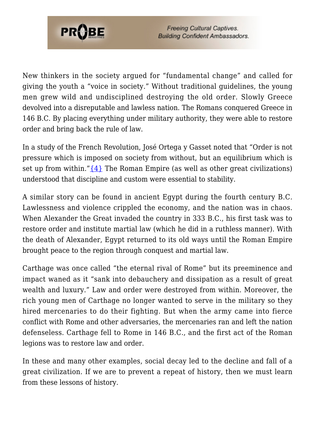

New thinkers in the society argued for "fundamental change" and called for giving the youth a "voice in society." Without traditional guidelines, the young men grew wild and undisciplined destroying the old order. Slowly Greece devolved into a disreputable and lawless nation. The Romans conquered Greece in 146 B.C. By placing everything under military authority, they were able to restore order and bring back the rule of law.

In a study of the French Revolution, José Ortega y Gasset noted that "Order is not pressure which is imposed on society from without, but an equilibrium which is set up from within." $\{4\}$  The Roman Empire (as well as other great civilizations) understood that discipline and custom were essential to stability.

A similar story can be found in ancient Egypt during the fourth century B.C. Lawlessness and violence crippled the economy, and the nation was in chaos. When Alexander the Great invaded the country in 333 B.C., his first task was to restore order and institute martial law (which he did in a ruthless manner). With the death of Alexander, Egypt returned to its old ways until the Roman Empire brought peace to the region through conquest and martial law.

Carthage was once called "the eternal rival of Rome" but its preeminence and impact waned as it "sank into debauchery and dissipation as a result of great wealth and luxury." Law and order were destroyed from within. Moreover, the rich young men of Carthage no longer wanted to serve in the military so they hired mercenaries to do their fighting. But when the army came into fierce conflict with Rome and other adversaries, the mercenaries ran and left the nation defenseless. Carthage fell to Rome in 146 B.C., and the first act of the Roman legions was to restore law and order.

In these and many other examples, social decay led to the decline and fall of a great civilization. If we are to prevent a repeat of history, then we must learn from these lessons of history.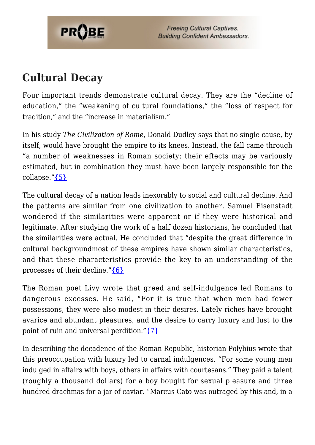

#### **Cultural Decay**

Four important trends demonstrate cultural decay. They are the "decline of education," the "weakening of cultural foundations," the "loss of respect for tradition," and the "increase in materialism."

In his study *The Civilization of Rome*, Donald Dudley says that no single cause, by itself, would have brought the empire to its knees. Instead, the fall came through "a number of weaknesses in Roman society; their effects may be variously estimated, but in combination they must have been largely responsible for the collapse." ${5}$ 

The cultural decay of a nation leads inexorably to social and cultural decline. And the patterns are similar from one civilization to another. Samuel Eisenstadt wondered if the similarities were apparent or if they were historical and legitimate. After studying the work of a half dozen historians, he concluded that the similarities were actual. He concluded that "despite the great difference in cultural backgroundmost of these empires have shown similar characteristics, and that these characteristics provide the key to an understanding of the processes of their decline." ${6}$ 

The Roman poet Livy wrote that greed and self-indulgence led Romans to dangerous excesses. He said, "For it is true that when men had fewer possessions, they were also modest in their desires. Lately riches have brought avarice and abundant pleasures, and the desire to carry luxury and lust to the point of ruin and universal perdition."[{7}](#page-7-6)

In describing the decadence of the Roman Republic, historian Polybius wrote that this preoccupation with luxury led to carnal indulgences. "For some young men indulged in affairs with boys, others in affairs with courtesans." They paid a talent (roughly a thousand dollars) for a boy bought for sexual pleasure and three hundred drachmas for a jar of caviar. "Marcus Cato was outraged by this and, in a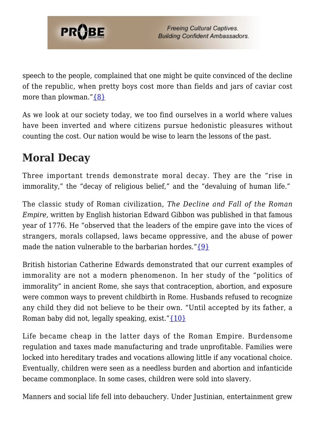

speech to the people, complained that one might be quite convinced of the decline of the republic, when pretty boys cost more than fields and jars of caviar cost more than plowman." $\{8\}$ 

As we look at our society today, we too find ourselves in a world where values have been inverted and where citizens pursue hedonistic pleasures without counting the cost. Our nation would be wise to learn the lessons of the past.

### **Moral Decay**

Three important trends demonstrate moral decay. They are the "rise in immorality," the "decay of religious belief," and the "devaluing of human life."

The classic study of Roman civilization, *The Decline and Fall of the Roman Empire*, written by English historian Edward Gibbon was published in that famous year of 1776. He "observed that the leaders of the empire gave into the vices of strangers, morals collapsed, laws became oppressive, and the abuse of power made the nation vulnerable to the barbarian hordes.["{9}](#page-7-8)

British historian Catherine Edwards demonstrated that our current examples of immorality are not a modern phenomenon. In her study of the "politics of immorality" in ancient Rome, she says that contraception, abortion, and exposure were common ways to prevent childbirth in Rome. Husbands refused to recognize any child they did not believe to be their own. "Until accepted by its father, a Roman baby did not, legally speaking, exist."[{10}](#page-7-9)

Life became cheap in the latter days of the Roman Empire. Burdensome regulation and taxes made manufacturing and trade unprofitable. Families were locked into hereditary trades and vocations allowing little if any vocational choice. Eventually, children were seen as a needless burden and abortion and infanticide became commonplace. In some cases, children were sold into slavery.

Manners and social life fell into debauchery. Under Justinian, entertainment grew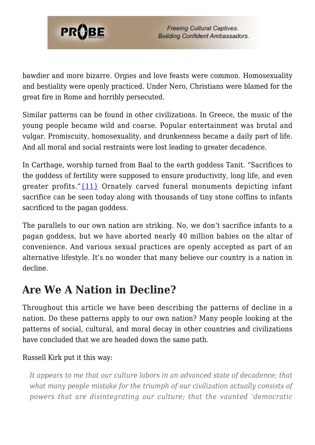

bawdier and more bizarre. Orgies and love feasts were common. Homosexuality and bestiality were openly practiced. Under Nero, Christians were blamed for the great fire in Rome and horribly persecuted.

Similar patterns can be found in other civilizations. In Greece, the music of the young people became wild and coarse. Popular entertainment was brutal and vulgar. Promiscuity, homosexuality, and drunkenness became a daily part of life. And all moral and social restraints were lost leading to greater decadence.

In Carthage, worship turned from Baal to the earth goddess Tanit. "Sacrifices to the goddess of fertility were supposed to ensure productivity, long life, and even greater profits." $\{11\}$  Ornately carved funeral monuments depicting infant sacrifice can be seen today along with thousands of tiny stone coffins to infants sacrificed to the pagan goddess.

The parallels to our own nation are striking. No, we don't sacrifice infants to a pagan goddess, but we have aborted nearly 40 million babies on the altar of convenience. And various sexual practices are openly accepted as part of an alternative lifestyle. It's no wonder that many believe our country is a nation in decline.

### **Are We A Nation in Decline?**

Throughout this article we have been describing the patterns of decline in a nation. Do these patterns apply to our own nation? Many people looking at the patterns of social, cultural, and moral decay in other countries and civilizations have concluded that we are headed down the same path.

#### Russell Kirk put it this way:

*It appears to me that our culture labors in an advanced state of decadence; that what many people mistake for the triumph of our civilization actually consists of powers that are disintegrating our culture; that the vaunted 'democratic*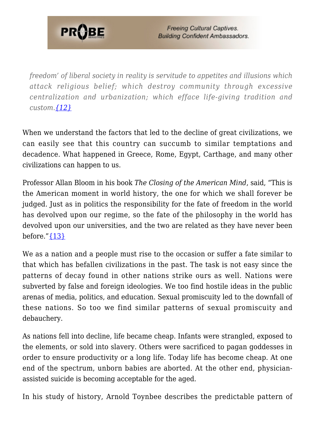

*freedom' of liberal society in reality is servitude to appetites and illusions which attack religious belief; which destroy community through excessive centralization and urbanization; which efface life-giving tradition and custom[.{12}](#page-7-11)*

When we understand the factors that led to the decline of great civilizations, we can easily see that this country can succumb to similar temptations and decadence. What happened in Greece, Rome, Egypt, Carthage, and many other civilizations can happen to us.

Professor Allan Bloom in his book *The Closing of the American Mind*, said, "This is the American moment in world history, the one for which we shall forever be judged. Just as in politics the responsibility for the fate of freedom in the world has devolved upon our regime, so the fate of the philosophy in the world has devolved upon our universities, and the two are related as they have never been before." $\{13\}$ 

We as a nation and a people must rise to the occasion or suffer a fate similar to that which has befallen civilizations in the past. The task is not easy since the patterns of decay found in other nations strike ours as well. Nations were subverted by false and foreign ideologies. We too find hostile ideas in the public arenas of media, politics, and education. Sexual promiscuity led to the downfall of these nations. So too we find similar patterns of sexual promiscuity and debauchery.

As nations fell into decline, life became cheap. Infants were strangled, exposed to the elements, or sold into slavery. Others were sacrificed to pagan goddesses in order to ensure productivity or a long life. Today life has become cheap. At one end of the spectrum, unborn babies are aborted. At the other end, physicianassisted suicide is becoming acceptable for the aged.

In his study of history, Arnold Toynbee describes the predictable pattern of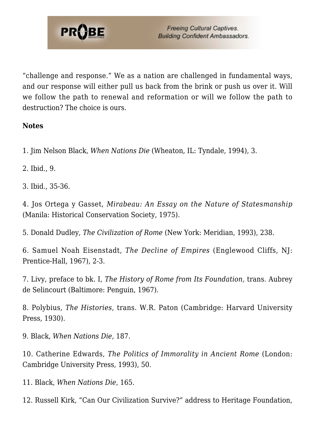

"challenge and response." We as a nation are challenged in fundamental ways, and our response will either pull us back from the brink or push us over it. Will we follow the path to renewal and reformation or will we follow the path to destruction? The choice is ours.

#### **Notes**

<span id="page-7-1"></span><span id="page-7-0"></span>1. Jim Nelson Black, *When Nations Die* (Wheaton, IL: Tyndale, 1994), 3.

<span id="page-7-2"></span>2. Ibid., 9.

<span id="page-7-3"></span>3. Ibid., 35-36.

<span id="page-7-4"></span>4. Jos Ortega y Gasset, *Mirabeau: An Essay on the Nature of Statesmanship* (Manila: Historical Conservation Society, 1975).

<span id="page-7-5"></span>5. Donald Dudley, *The Civilization of Rome* (New York: Meridian, 1993), 238.

<span id="page-7-6"></span>6. Samuel Noah Eisenstadt, *The Decline of Empires* (Englewood Cliffs, NJ: Prentice-Hall, 1967), 2-3.

<span id="page-7-7"></span>7. Livy, preface to bk. I, *The History of Rome from Its Foundation,* trans. Aubrey de Selincourt (Baltimore: Penguin, 1967).

<span id="page-7-8"></span>8. Polybius, *The Histories,* trans. W.R. Paton (Cambridge: Harvard University Press, 1930).

<span id="page-7-9"></span>9. Black, *When Nations Die,* 187.

<span id="page-7-10"></span>10. Catherine Edwards, *The Politics of Immorality in Ancient Rome* (London: Cambridge University Press, 1993), 50.

<span id="page-7-11"></span>11. Black, *When Nations Die*, 165.

<span id="page-7-12"></span>12. Russell Kirk, "Can Our Civilization Survive?" address to Heritage Foundation,